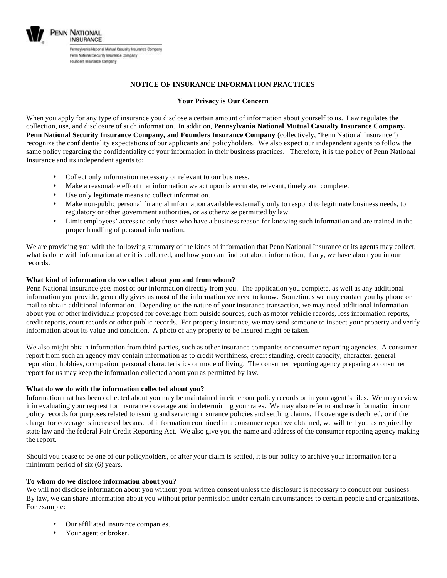

### **NOTICE OF INSURANCE INFORMATION PRACTICES**

#### **Your Privacy is Our Concern**

When you apply for any type of insurance you disclose a certain amount of information about yourself to us. Law regulates the collection, use, and disclosure of such information. In addition, **Pennsylvania National Mutual Casualty Insurance Company, Penn National Security Insurance Company, and Founders Insurance Company** (collectively, "Penn National Insurance") recognize the confidentiality expectations of our applicants and policyholders. We also expect our independent agents to follow the same policy regarding the confidentiality of your information in their business practices. Therefore, it is the policy of Penn National Insurance and its independent agents to:

- Collect only information necessary or relevant to our business.
- Make a reasonable effort that information we act upon is accurate, relevant, timely and complete.
- Use only legitimate means to collect information.
- Make non-public personal financial information available externally only to respond to legitimate business needs, to regulatory or other government authorities, or as otherwise permitted by law.
- Limit employees' access to only those who have a business reason for knowing such information and are trained in the proper handling of personal information.

We are providing you with the following summary of the kinds of information that Penn National Insurance or its agents may collect, what is done with information after it is collected, and how you can find out about information, if any, we have about you in our records.

#### **What kind of information do we collect about you and from whom?**

Penn National Insurance gets most of our information directly from you. The application you complete, as well as any additional information you provide, generally gives us most of the information we need to know. Sometimes we may contact you by phone or mail to obtain additional information. Depending on the nature of your insurance transaction, we may need additional information about you or other individuals proposed for coverage from outside sources, such as motor vehicle records, loss information reports, credit reports, court records or other public records. For property insurance, we may send someone to inspect your property and verify information about its value and condition. A photo of any property to be insured might be taken.

We also might obtain information from third parties, such as other insurance companies or consumer reporting agencies. A consumer report from such an agency may contain information as to credit worthiness, credit standing, credit capacity, character, general reputation, hobbies, occupation, personal characteristics or mode of living. The consumer reporting agency preparing a consumer report for us may keep the information collected about you as permitted by law.

#### **What do we do with the information collected about you?**

Information that has been collected about you may be maintained in either our policy records or in your agent's files. We may review it in evaluating your request for insurance coverage and in determining your rates. We may also refer to and use information in our policy records for purposes related to issuing and servicing insurance policies and settling claims. If coverage is declined, or if the charge for coverage is increased because of information contained in a consumer report we obtained, we will tell you as required by state law and the federal Fair Credit Reporting Act. We also give you the name and address of the consumer-reporting agency making the report.

Should you cease to be one of our policyholders, or after your claim is settled, it is our policy to archive your information for a minimum period of six (6) years.

#### **To whom do we disclose information about you?**

We will not disclose information about you without your written consent unless the disclosure is necessary to conduct our business. By law, we can share information about you without prior permission under certain circumstances to certain people and organizations. For example:

- Our affiliated insurance companies.
- Your agent or broker.